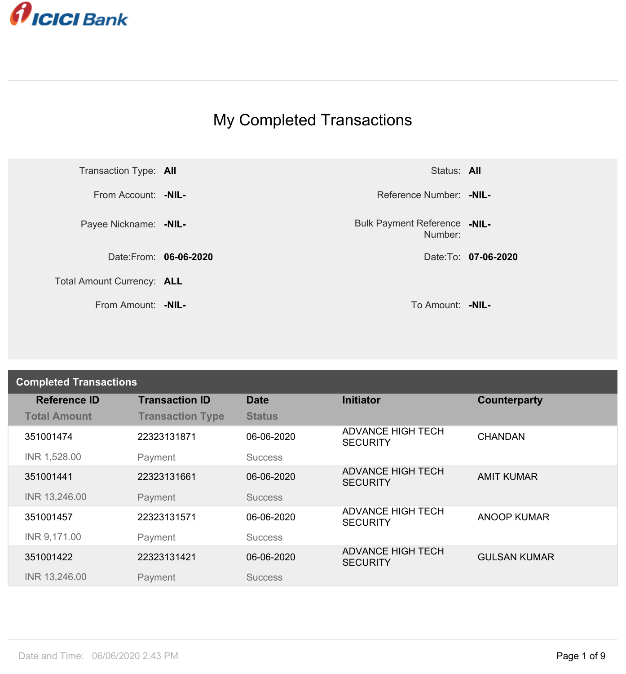

## My Completed Transactions



Number: **-NIL-**

| <b>Completed Transactions</b> |                         |                |                                             |                     |
|-------------------------------|-------------------------|----------------|---------------------------------------------|---------------------|
| <b>Reference ID</b>           | <b>Transaction ID</b>   | <b>Date</b>    | <b>Initiator</b>                            | Counterparty        |
| <b>Total Amount</b>           | <b>Transaction Type</b> | <b>Status</b>  |                                             |                     |
| 351001474                     | 22323131871             | 06-06-2020     | <b>ADVANCE HIGH TECH</b><br><b>SECURITY</b> | <b>CHANDAN</b>      |
| INR 1,528.00                  | Payment                 | <b>Success</b> |                                             |                     |
| 351001441                     | 22323131661             | 06-06-2020     | <b>ADVANCE HIGH TECH</b><br><b>SECURITY</b> | <b>AMIT KUMAR</b>   |
| INR 13,246.00                 | Payment                 | <b>Success</b> |                                             |                     |
| 351001457                     | 22323131571             | 06-06-2020     | <b>ADVANCE HIGH TECH</b><br><b>SECURITY</b> | <b>ANOOP KUMAR</b>  |
| INR 9,171.00                  | Payment                 | <b>Success</b> |                                             |                     |
| 351001422                     | 22323131421             | 06-06-2020     | <b>ADVANCE HIGH TECH</b><br><b>SECURITY</b> | <b>GULSAN KUMAR</b> |
| INR 13,246.00                 | Payment                 | <b>Success</b> |                                             |                     |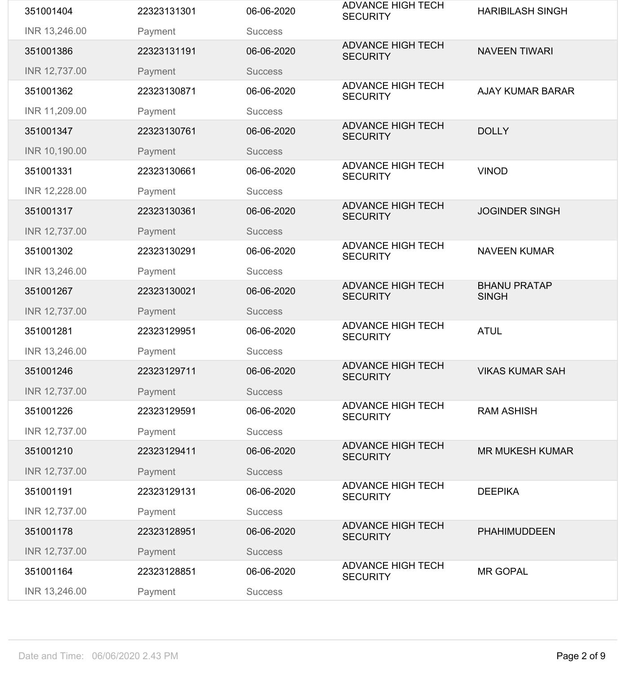| 351001404     | 22323131301 | 06-06-2020     | <b>ADVANCE HIGH TECH</b><br><b>SECURITY</b> | <b>HARIBILASH SINGH</b>             |
|---------------|-------------|----------------|---------------------------------------------|-------------------------------------|
| INR 13,246.00 | Payment     | <b>Success</b> |                                             |                                     |
| 351001386     | 22323131191 | 06-06-2020     | <b>ADVANCE HIGH TECH</b><br><b>SECURITY</b> | <b>NAVEEN TIWARI</b>                |
| INR 12,737.00 | Payment     | <b>Success</b> |                                             |                                     |
| 351001362     | 22323130871 | 06-06-2020     | <b>ADVANCE HIGH TECH</b><br><b>SECURITY</b> | <b>AJAY KUMAR BARAR</b>             |
| INR 11,209.00 | Payment     | <b>Success</b> |                                             |                                     |
| 351001347     | 22323130761 | 06-06-2020     | <b>ADVANCE HIGH TECH</b><br><b>SECURITY</b> | <b>DOLLY</b>                        |
| INR 10,190.00 | Payment     | <b>Success</b> |                                             |                                     |
| 351001331     | 22323130661 | 06-06-2020     | <b>ADVANCE HIGH TECH</b><br><b>SECURITY</b> | <b>VINOD</b>                        |
| INR 12,228.00 | Payment     | <b>Success</b> |                                             |                                     |
| 351001317     | 22323130361 | 06-06-2020     | <b>ADVANCE HIGH TECH</b><br><b>SECURITY</b> | <b>JOGINDER SINGH</b>               |
| INR 12,737.00 | Payment     | <b>Success</b> |                                             |                                     |
| 351001302     | 22323130291 | 06-06-2020     | <b>ADVANCE HIGH TECH</b><br><b>SECURITY</b> | <b>NAVEEN KUMAR</b>                 |
| INR 13,246.00 | Payment     | <b>Success</b> |                                             |                                     |
| 351001267     | 22323130021 | 06-06-2020     | <b>ADVANCE HIGH TECH</b><br><b>SECURITY</b> | <b>BHANU PRATAP</b><br><b>SINGH</b> |
| INR 12,737.00 | Payment     | <b>Success</b> |                                             |                                     |
| 351001281     | 22323129951 | 06-06-2020     | <b>ADVANCE HIGH TECH</b><br><b>SECURITY</b> | <b>ATUL</b>                         |
| INR 13,246.00 | Payment     | <b>Success</b> |                                             |                                     |
| 351001246     | 22323129711 | 06-06-2020     | <b>ADVANCE HIGH TECH</b><br><b>SECURITY</b> | <b>VIKAS KUMAR SAH</b>              |
| INR 12,737.00 | Payment     | <b>Success</b> |                                             |                                     |
| 351001226     | 22323129591 | 06-06-2020     | <b>ADVANCE HIGH TECH</b><br><b>SECURITY</b> | <b>RAM ASHISH</b>                   |
| INR 12,737.00 | Payment     | <b>Success</b> |                                             |                                     |
| 351001210     | 22323129411 | 06-06-2020     | <b>ADVANCE HIGH TECH</b><br><b>SECURITY</b> | <b>MR MUKESH KUMAR</b>              |
| INR 12,737.00 | Payment     | <b>Success</b> |                                             |                                     |
| 351001191     | 22323129131 | 06-06-2020     | <b>ADVANCE HIGH TECH</b><br><b>SECURITY</b> | <b>DEEPIKA</b>                      |
| INR 12,737.00 | Payment     | <b>Success</b> |                                             |                                     |
| 351001178     | 22323128951 | 06-06-2020     | <b>ADVANCE HIGH TECH</b><br><b>SECURITY</b> | <b>PHAHIMUDDEEN</b>                 |
| INR 12,737.00 | Payment     | <b>Success</b> |                                             |                                     |
| 351001164     | 22323128851 | 06-06-2020     | <b>ADVANCE HIGH TECH</b><br><b>SECURITY</b> | <b>MR GOPAL</b>                     |
|               |             |                |                                             |                                     |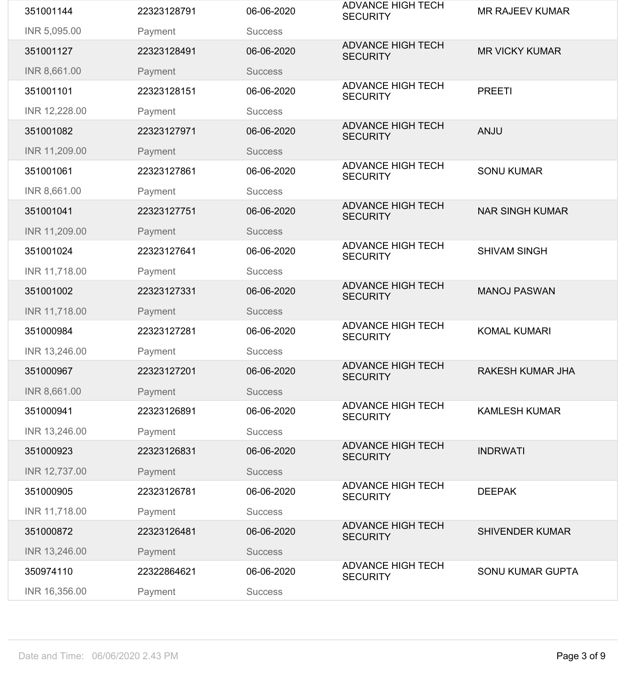| 351001144     | 22323128791 | 06-06-2020     | <b>ADVANCE HIGH TECH</b><br><b>SECURITY</b> | <b>MR RAJEEV KUMAR</b>  |
|---------------|-------------|----------------|---------------------------------------------|-------------------------|
| INR 5,095.00  | Payment     | <b>Success</b> |                                             |                         |
| 351001127     | 22323128491 | 06-06-2020     | <b>ADVANCE HIGH TECH</b><br><b>SECURITY</b> | <b>MR VICKY KUMAR</b>   |
| INR 8,661.00  | Payment     | <b>Success</b> |                                             |                         |
| 351001101     | 22323128151 | 06-06-2020     | <b>ADVANCE HIGH TECH</b><br><b>SECURITY</b> | <b>PREETI</b>           |
| INR 12,228.00 | Payment     | <b>Success</b> |                                             |                         |
| 351001082     | 22323127971 | 06-06-2020     | <b>ADVANCE HIGH TECH</b><br><b>SECURITY</b> | <b>ANJU</b>             |
| INR 11,209.00 | Payment     | <b>Success</b> |                                             |                         |
| 351001061     | 22323127861 | 06-06-2020     | <b>ADVANCE HIGH TECH</b><br><b>SECURITY</b> | <b>SONU KUMAR</b>       |
| INR 8,661.00  | Payment     | <b>Success</b> |                                             |                         |
| 351001041     | 22323127751 | 06-06-2020     | <b>ADVANCE HIGH TECH</b><br><b>SECURITY</b> | <b>NAR SINGH KUMAR</b>  |
| INR 11,209.00 | Payment     | <b>Success</b> |                                             |                         |
| 351001024     | 22323127641 | 06-06-2020     | <b>ADVANCE HIGH TECH</b><br><b>SECURITY</b> | <b>SHIVAM SINGH</b>     |
| INR 11,718.00 | Payment     | <b>Success</b> |                                             |                         |
| 351001002     | 22323127331 | 06-06-2020     | <b>ADVANCE HIGH TECH</b><br><b>SECURITY</b> | <b>MANOJ PASWAN</b>     |
| INR 11,718.00 | Payment     | <b>Success</b> |                                             |                         |
| 351000984     | 22323127281 | 06-06-2020     | <b>ADVANCE HIGH TECH</b><br><b>SECURITY</b> | <b>KOMAL KUMARI</b>     |
| INR 13,246.00 | Payment     | <b>Success</b> |                                             |                         |
| 351000967     | 22323127201 | 06-06-2020     | <b>ADVANCE HIGH TECH</b><br><b>SECURITY</b> | <b>RAKESH KUMAR JHA</b> |
| INR 8,661.00  | Payment     | <b>Success</b> |                                             |                         |
| 351000941     | 22323126891 | 06-06-2020     | <b>ADVANCE HIGH TECH</b><br><b>SECURITY</b> | <b>KAMLESH KUMAR</b>    |
| INR 13,246.00 | Payment     | <b>Success</b> |                                             |                         |
| 351000923     | 22323126831 | 06-06-2020     | <b>ADVANCE HIGH TECH</b><br><b>SECURITY</b> | <b>INDRWATI</b>         |
| INR 12,737.00 | Payment     | <b>Success</b> |                                             |                         |
| 351000905     | 22323126781 | 06-06-2020     | <b>ADVANCE HIGH TECH</b><br><b>SECURITY</b> | <b>DEEPAK</b>           |
| INR 11,718.00 | Payment     | <b>Success</b> |                                             |                         |
| 351000872     | 22323126481 | 06-06-2020     | <b>ADVANCE HIGH TECH</b><br><b>SECURITY</b> | <b>SHIVENDER KUMAR</b>  |
| INR 13,246.00 | Payment     | <b>Success</b> |                                             |                         |
| 350974110     | 22322864621 | 06-06-2020     | <b>ADVANCE HIGH TECH</b><br><b>SECURITY</b> | <b>SONU KUMAR GUPTA</b> |
| INR 16,356.00 | Payment     | <b>Success</b> |                                             |                         |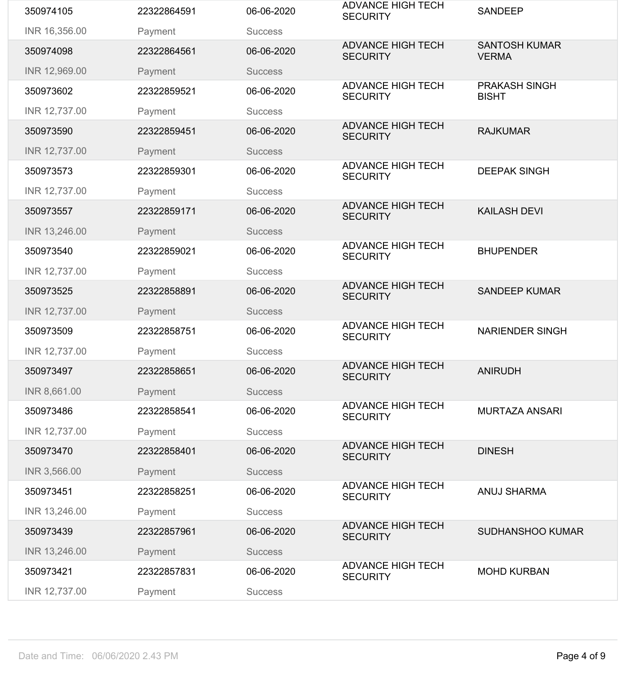| 350974105     | 22322864591 | 06-06-2020     | <b>ADVANCE HIGH TECH</b><br><b>SECURITY</b> | <b>SANDEEP</b>                       |
|---------------|-------------|----------------|---------------------------------------------|--------------------------------------|
| INR 16,356.00 | Payment     | <b>Success</b> |                                             |                                      |
| 350974098     | 22322864561 | 06-06-2020     | <b>ADVANCE HIGH TECH</b><br><b>SECURITY</b> | <b>SANTOSH KUMAR</b><br><b>VERMA</b> |
| INR 12,969.00 | Payment     | <b>Success</b> |                                             |                                      |
| 350973602     | 22322859521 | 06-06-2020     | <b>ADVANCE HIGH TECH</b><br><b>SECURITY</b> | <b>PRAKASH SINGH</b><br><b>BISHT</b> |
| INR 12,737.00 | Payment     | <b>Success</b> |                                             |                                      |
| 350973590     | 22322859451 | 06-06-2020     | <b>ADVANCE HIGH TECH</b><br><b>SECURITY</b> | <b>RAJKUMAR</b>                      |
| INR 12,737.00 | Payment     | <b>Success</b> |                                             |                                      |
| 350973573     | 22322859301 | 06-06-2020     | <b>ADVANCE HIGH TECH</b><br><b>SECURITY</b> | <b>DEEPAK SINGH</b>                  |
| INR 12,737.00 | Payment     | <b>Success</b> |                                             |                                      |
| 350973557     | 22322859171 | 06-06-2020     | <b>ADVANCE HIGH TECH</b><br><b>SECURITY</b> | <b>KAILASH DEVI</b>                  |
| INR 13,246.00 | Payment     | <b>Success</b> |                                             |                                      |
| 350973540     | 22322859021 | 06-06-2020     | <b>ADVANCE HIGH TECH</b><br><b>SECURITY</b> | <b>BHUPENDER</b>                     |
| INR 12,737.00 | Payment     | <b>Success</b> |                                             |                                      |
| 350973525     | 22322858891 | 06-06-2020     | <b>ADVANCE HIGH TECH</b><br><b>SECURITY</b> | <b>SANDEEP KUMAR</b>                 |
| INR 12,737.00 | Payment     | <b>Success</b> |                                             |                                      |
| 350973509     | 22322858751 | 06-06-2020     | <b>ADVANCE HIGH TECH</b><br><b>SECURITY</b> | <b>NARIENDER SINGH</b>               |
| INR 12,737.00 | Payment     | <b>Success</b> |                                             |                                      |
| 350973497     | 22322858651 | 06-06-2020     | <b>ADVANCE HIGH TECH</b><br><b>SECURITY</b> | <b>ANIRUDH</b>                       |
| INR 8,661.00  | Payment     | <b>Success</b> |                                             |                                      |
| 350973486     | 22322858541 | 06-06-2020     | <b>ADVANCE HIGH TECH</b><br><b>SECURITY</b> | <b>MURTAZA ANSARI</b>                |
| INR 12,737.00 | Payment     | <b>Success</b> |                                             |                                      |
| 350973470     | 22322858401 | 06-06-2020     | <b>ADVANCE HIGH TECH</b><br><b>SECURITY</b> | <b>DINESH</b>                        |
| INR 3,566.00  | Payment     | <b>Success</b> |                                             |                                      |
| 350973451     | 22322858251 | 06-06-2020     | <b>ADVANCE HIGH TECH</b><br><b>SECURITY</b> | <b>ANUJ SHARMA</b>                   |
| INR 13,246.00 | Payment     | <b>Success</b> |                                             |                                      |
| 350973439     | 22322857961 | 06-06-2020     | <b>ADVANCE HIGH TECH</b><br><b>SECURITY</b> | <b>SUDHANSHOO KUMAR</b>              |
| INR 13,246.00 | Payment     | <b>Success</b> |                                             |                                      |
| 350973421     | 22322857831 | 06-06-2020     | <b>ADVANCE HIGH TECH</b><br><b>SECURITY</b> | <b>MOHD KURBAN</b>                   |
| INR 12,737.00 | Payment     | <b>Success</b> |                                             |                                      |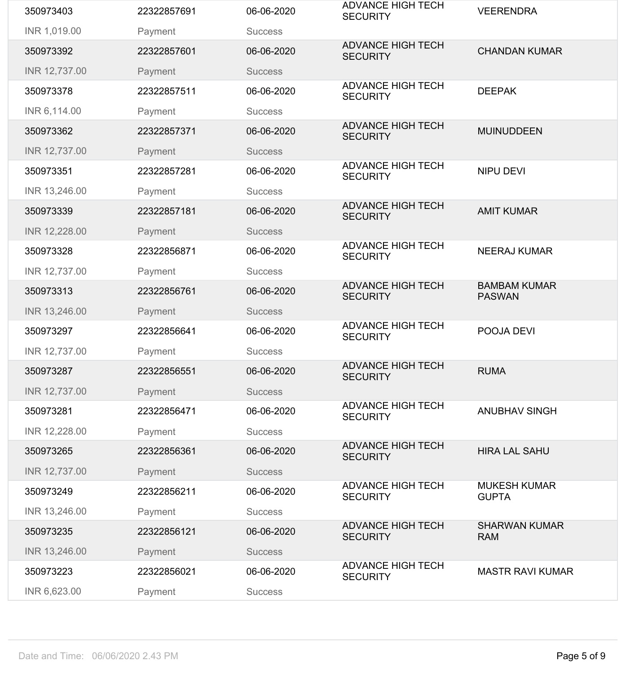| 350973403     | 22322857691 | 06-06-2020     | <b>ADVANCE HIGH TECH</b><br><b>SECURITY</b> | <b>VEERENDRA</b>                     |
|---------------|-------------|----------------|---------------------------------------------|--------------------------------------|
| INR 1,019.00  | Payment     | <b>Success</b> |                                             |                                      |
| 350973392     | 22322857601 | 06-06-2020     | <b>ADVANCE HIGH TECH</b><br><b>SECURITY</b> | <b>CHANDAN KUMAR</b>                 |
| INR 12,737.00 | Payment     | <b>Success</b> |                                             |                                      |
| 350973378     | 22322857511 | 06-06-2020     | <b>ADVANCE HIGH TECH</b><br><b>SECURITY</b> | <b>DEEPAK</b>                        |
| INR 6,114.00  | Payment     | <b>Success</b> |                                             |                                      |
| 350973362     | 22322857371 | 06-06-2020     | <b>ADVANCE HIGH TECH</b><br><b>SECURITY</b> | <b>MUINUDDEEN</b>                    |
| INR 12,737.00 | Payment     | <b>Success</b> |                                             |                                      |
| 350973351     | 22322857281 | 06-06-2020     | <b>ADVANCE HIGH TECH</b><br><b>SECURITY</b> | <b>NIPU DEVI</b>                     |
| INR 13,246.00 | Payment     | <b>Success</b> |                                             |                                      |
| 350973339     | 22322857181 | 06-06-2020     | <b>ADVANCE HIGH TECH</b><br><b>SECURITY</b> | <b>AMIT KUMAR</b>                    |
| INR 12,228.00 | Payment     | <b>Success</b> |                                             |                                      |
| 350973328     | 22322856871 | 06-06-2020     | <b>ADVANCE HIGH TECH</b><br><b>SECURITY</b> | <b>NEERAJ KUMAR</b>                  |
| INR 12,737.00 | Payment     | <b>Success</b> |                                             |                                      |
| 350973313     | 22322856761 | 06-06-2020     | <b>ADVANCE HIGH TECH</b><br><b>SECURITY</b> | <b>BAMBAM KUMAR</b><br><b>PASWAN</b> |
| INR 13,246.00 | Payment     | <b>Success</b> |                                             |                                      |
| 350973297     | 22322856641 | 06-06-2020     | <b>ADVANCE HIGH TECH</b><br><b>SECURITY</b> | POOJA DEVI                           |
| INR 12,737.00 | Payment     | <b>Success</b> |                                             |                                      |
| 350973287     | 22322856551 | 06-06-2020     | <b>ADVANCE HIGH TECH</b><br><b>SECURITY</b> | <b>RUMA</b>                          |
| INR 12,737.00 | Payment     | <b>Success</b> |                                             |                                      |
| 350973281     | 22322856471 | 06-06-2020     | <b>ADVANCE HIGH TECH</b><br><b>SECURITY</b> | <b>ANUBHAV SINGH</b>                 |
| INR 12,228.00 | Payment     | <b>Success</b> |                                             |                                      |
| 350973265     | 22322856361 | 06-06-2020     | <b>ADVANCE HIGH TECH</b><br><b>SECURITY</b> | <b>HIRA LAL SAHU</b>                 |
| INR 12,737.00 | Payment     | <b>Success</b> |                                             |                                      |
| 350973249     | 22322856211 | 06-06-2020     | <b>ADVANCE HIGH TECH</b><br><b>SECURITY</b> | <b>MUKESH KUMAR</b><br><b>GUPTA</b>  |
| INR 13,246.00 | Payment     | <b>Success</b> |                                             |                                      |
| 350973235     | 22322856121 | 06-06-2020     | <b>ADVANCE HIGH TECH</b><br><b>SECURITY</b> | <b>SHARWAN KUMAR</b><br><b>RAM</b>   |
| INR 13,246.00 | Payment     | <b>Success</b> |                                             |                                      |
| 350973223     | 22322856021 | 06-06-2020     | <b>ADVANCE HIGH TECH</b><br><b>SECURITY</b> | <b>MASTR RAVI KUMAR</b>              |
| INR 6,623.00  | Payment     | <b>Success</b> |                                             |                                      |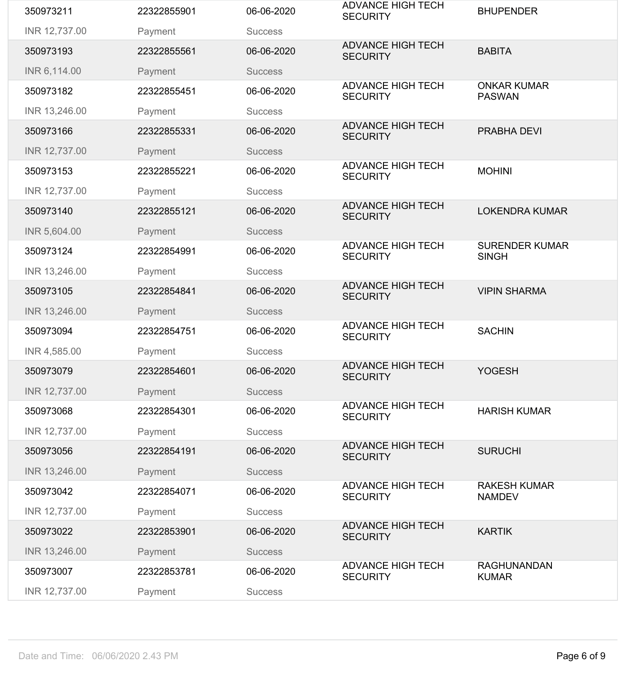| 350973211     | 22322855901 | 06-06-2020     | <b>ADVANCE HIGH TECH</b><br><b>SECURITY</b> | <b>BHUPENDER</b>                      |
|---------------|-------------|----------------|---------------------------------------------|---------------------------------------|
| INR 12,737.00 | Payment     | <b>Success</b> |                                             |                                       |
| 350973193     | 22322855561 | 06-06-2020     | <b>ADVANCE HIGH TECH</b><br><b>SECURITY</b> | <b>BABITA</b>                         |
| INR 6,114.00  | Payment     | <b>Success</b> |                                             |                                       |
| 350973182     | 22322855451 | 06-06-2020     | <b>ADVANCE HIGH TECH</b><br><b>SECURITY</b> | <b>ONKAR KUMAR</b><br><b>PASWAN</b>   |
| INR 13,246.00 | Payment     | <b>Success</b> |                                             |                                       |
| 350973166     | 22322855331 | 06-06-2020     | <b>ADVANCE HIGH TECH</b><br><b>SECURITY</b> | <b>PRABHA DEVI</b>                    |
| INR 12,737.00 | Payment     | <b>Success</b> |                                             |                                       |
| 350973153     | 22322855221 | 06-06-2020     | <b>ADVANCE HIGH TECH</b><br><b>SECURITY</b> | <b>MOHINI</b>                         |
| INR 12,737.00 | Payment     | <b>Success</b> |                                             |                                       |
| 350973140     | 22322855121 | 06-06-2020     | <b>ADVANCE HIGH TECH</b><br><b>SECURITY</b> | <b>LOKENDRA KUMAR</b>                 |
| INR 5,604.00  | Payment     | <b>Success</b> |                                             |                                       |
| 350973124     | 22322854991 | 06-06-2020     | <b>ADVANCE HIGH TECH</b><br><b>SECURITY</b> | <b>SURENDER KUMAR</b><br><b>SINGH</b> |
| INR 13,246.00 | Payment     | <b>Success</b> |                                             |                                       |
| 350973105     | 22322854841 | 06-06-2020     | <b>ADVANCE HIGH TECH</b><br><b>SECURITY</b> | <b>VIPIN SHARMA</b>                   |
| INR 13,246.00 | Payment     | <b>Success</b> |                                             |                                       |
| 350973094     | 22322854751 | 06-06-2020     | <b>ADVANCE HIGH TECH</b><br><b>SECURITY</b> | <b>SACHIN</b>                         |
| INR 4,585.00  | Payment     | <b>Success</b> |                                             |                                       |
| 350973079     | 22322854601 | 06-06-2020     | <b>ADVANCE HIGH TECH</b><br><b>SECURITY</b> | <b>YOGESH</b>                         |
| INR 12,737.00 | Payment     | <b>Success</b> |                                             |                                       |
| 350973068     | 22322854301 | 06-06-2020     | <b>ADVANCE HIGH TECH</b><br><b>SECURITY</b> | <b>HARISH KUMAR</b>                   |
| INR 12,737.00 | Payment     | <b>Success</b> |                                             |                                       |
| 350973056     | 22322854191 | 06-06-2020     | <b>ADVANCE HIGH TECH</b><br><b>SECURITY</b> | <b>SURUCHI</b>                        |
| INR 13,246.00 | Payment     | <b>Success</b> |                                             |                                       |
| 350973042     | 22322854071 | 06-06-2020     | <b>ADVANCE HIGH TECH</b><br><b>SECURITY</b> | <b>RAKESH KUMAR</b><br><b>NAMDEV</b>  |
| INR 12,737.00 | Payment     | <b>Success</b> |                                             |                                       |
| 350973022     | 22322853901 | 06-06-2020     | <b>ADVANCE HIGH TECH</b><br><b>SECURITY</b> | <b>KARTIK</b>                         |
| INR 13,246.00 | Payment     | <b>Success</b> |                                             |                                       |
| 350973007     | 22322853781 | 06-06-2020     | <b>ADVANCE HIGH TECH</b><br><b>SECURITY</b> | <b>RAGHUNANDAN</b><br><b>KUMAR</b>    |
| INR 12,737.00 | Payment     | <b>Success</b> |                                             |                                       |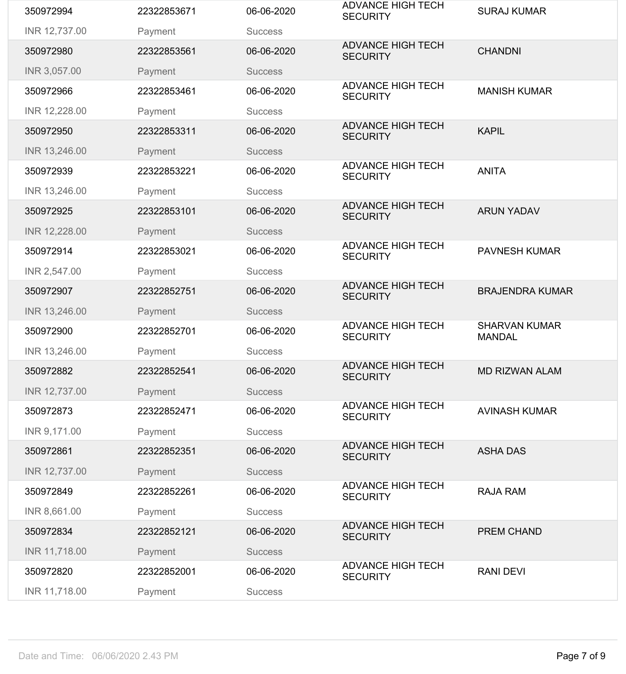| 350972994     | 22322853671 | 06-06-2020     | <b>ADVANCE HIGH TECH</b><br><b>SECURITY</b> | <b>SURAJ KUMAR</b>                    |
|---------------|-------------|----------------|---------------------------------------------|---------------------------------------|
| INR 12,737.00 | Payment     | <b>Success</b> |                                             |                                       |
| 350972980     | 22322853561 | 06-06-2020     | <b>ADVANCE HIGH TECH</b><br><b>SECURITY</b> | <b>CHANDNI</b>                        |
| INR 3,057.00  | Payment     | <b>Success</b> |                                             |                                       |
| 350972966     | 22322853461 | 06-06-2020     | <b>ADVANCE HIGH TECH</b><br><b>SECURITY</b> | <b>MANISH KUMAR</b>                   |
| INR 12,228.00 | Payment     | <b>Success</b> |                                             |                                       |
| 350972950     | 22322853311 | 06-06-2020     | <b>ADVANCE HIGH TECH</b><br><b>SECURITY</b> | <b>KAPIL</b>                          |
| INR 13,246.00 | Payment     | <b>Success</b> |                                             |                                       |
| 350972939     | 22322853221 | 06-06-2020     | <b>ADVANCE HIGH TECH</b><br><b>SECURITY</b> | <b>ANITA</b>                          |
| INR 13,246.00 | Payment     | <b>Success</b> |                                             |                                       |
| 350972925     | 22322853101 | 06-06-2020     | <b>ADVANCE HIGH TECH</b><br><b>SECURITY</b> | <b>ARUN YADAV</b>                     |
| INR 12,228.00 | Payment     | <b>Success</b> |                                             |                                       |
| 350972914     | 22322853021 | 06-06-2020     | <b>ADVANCE HIGH TECH</b><br><b>SECURITY</b> | <b>PAVNESH KUMAR</b>                  |
| INR 2,547.00  | Payment     | <b>Success</b> |                                             |                                       |
| 350972907     | 22322852751 | 06-06-2020     | <b>ADVANCE HIGH TECH</b><br><b>SECURITY</b> | <b>BRAJENDRA KUMAR</b>                |
| INR 13,246.00 | Payment     | <b>Success</b> |                                             |                                       |
| 350972900     | 22322852701 | 06-06-2020     | <b>ADVANCE HIGH TECH</b><br><b>SECURITY</b> | <b>SHARVAN KUMAR</b><br><b>MANDAL</b> |
| INR 13,246.00 | Payment     | <b>Success</b> |                                             |                                       |
| 350972882     | 22322852541 | 06-06-2020     | <b>ADVANCE HIGH TECH</b><br><b>SECURITY</b> | <b>MD RIZWAN ALAM</b>                 |
| INR 12,737.00 | Payment     | <b>Success</b> |                                             |                                       |
| 350972873     | 22322852471 | 06-06-2020     | <b>ADVANCE HIGH TECH</b><br><b>SECURITY</b> | <b>AVINASH KUMAR</b>                  |
| INR 9,171.00  | Payment     | <b>Success</b> |                                             |                                       |
| 350972861     | 22322852351 | 06-06-2020     | <b>ADVANCE HIGH TECH</b><br><b>SECURITY</b> | <b>ASHA DAS</b>                       |
| INR 12,737.00 | Payment     | <b>Success</b> |                                             |                                       |
| 350972849     | 22322852261 | 06-06-2020     | <b>ADVANCE HIGH TECH</b><br><b>SECURITY</b> | <b>RAJA RAM</b>                       |
| INR 8,661.00  | Payment     | <b>Success</b> |                                             |                                       |
| 350972834     | 22322852121 | 06-06-2020     | <b>ADVANCE HIGH TECH</b><br><b>SECURITY</b> | <b>PREM CHAND</b>                     |
| INR 11,718.00 | Payment     | <b>Success</b> |                                             |                                       |
| 350972820     | 22322852001 | 06-06-2020     | <b>ADVANCE HIGH TECH</b><br><b>SECURITY</b> | <b>RANI DEVI</b>                      |
| INR 11,718.00 | Payment     | <b>Success</b> |                                             |                                       |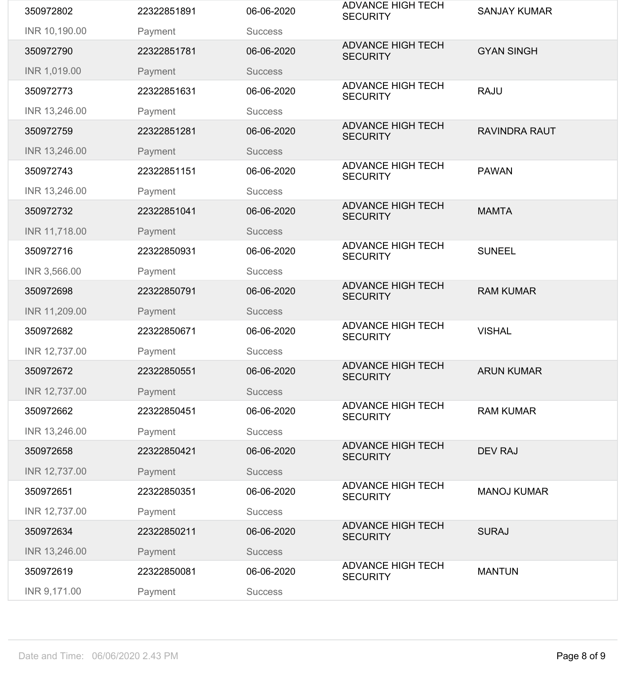| 350972802     | 22322851891 | 06-06-2020     | <b>ADVANCE HIGH TECH</b><br><b>SECURITY</b> | <b>SANJAY KUMAR</b>  |
|---------------|-------------|----------------|---------------------------------------------|----------------------|
| INR 10,190.00 | Payment     | <b>Success</b> |                                             |                      |
| 350972790     | 22322851781 | 06-06-2020     | <b>ADVANCE HIGH TECH</b><br><b>SECURITY</b> | <b>GYAN SINGH</b>    |
| INR 1,019.00  | Payment     | <b>Success</b> |                                             |                      |
| 350972773     | 22322851631 | 06-06-2020     | <b>ADVANCE HIGH TECH</b><br><b>SECURITY</b> | <b>RAJU</b>          |
| INR 13,246.00 | Payment     | <b>Success</b> |                                             |                      |
| 350972759     | 22322851281 | 06-06-2020     | <b>ADVANCE HIGH TECH</b><br><b>SECURITY</b> | <b>RAVINDRA RAUT</b> |
| INR 13,246.00 | Payment     | <b>Success</b> |                                             |                      |
| 350972743     | 22322851151 | 06-06-2020     | <b>ADVANCE HIGH TECH</b><br><b>SECURITY</b> | <b>PAWAN</b>         |
| INR 13,246.00 | Payment     | <b>Success</b> |                                             |                      |
| 350972732     | 22322851041 | 06-06-2020     | <b>ADVANCE HIGH TECH</b><br><b>SECURITY</b> | <b>MAMTA</b>         |
| INR 11,718.00 | Payment     | <b>Success</b> |                                             |                      |
| 350972716     | 22322850931 | 06-06-2020     | <b>ADVANCE HIGH TECH</b><br><b>SECURITY</b> | <b>SUNEEL</b>        |
| INR 3,566.00  | Payment     | <b>Success</b> |                                             |                      |
| 350972698     | 22322850791 | 06-06-2020     | <b>ADVANCE HIGH TECH</b><br><b>SECURITY</b> | <b>RAM KUMAR</b>     |
| INR 11,209.00 | Payment     | <b>Success</b> |                                             |                      |
| 350972682     | 22322850671 | 06-06-2020     | <b>ADVANCE HIGH TECH</b><br><b>SECURITY</b> | <b>VISHAL</b>        |
| INR 12,737.00 | Payment     | <b>Success</b> |                                             |                      |
| 350972672     | 22322850551 | 06-06-2020     | <b>ADVANCE HIGH TECH</b><br><b>SECURITY</b> | <b>ARUN KUMAR</b>    |
| INR 12,737.00 | Payment     | <b>Success</b> |                                             |                      |
| 350972662     | 22322850451 | 06-06-2020     | <b>ADVANCE HIGH TECH</b><br><b>SECURITY</b> | <b>RAM KUMAR</b>     |
| INR 13,246.00 | Payment     | <b>Success</b> |                                             |                      |
| 350972658     | 22322850421 | 06-06-2020     | <b>ADVANCE HIGH TECH</b><br><b>SECURITY</b> | <b>DEV RAJ</b>       |
| INR 12,737.00 | Payment     | <b>Success</b> |                                             |                      |
| 350972651     | 22322850351 | 06-06-2020     | <b>ADVANCE HIGH TECH</b><br><b>SECURITY</b> | <b>MANOJ KUMAR</b>   |
| INR 12,737.00 | Payment     | <b>Success</b> |                                             |                      |
| 350972634     | 22322850211 | 06-06-2020     | <b>ADVANCE HIGH TECH</b><br><b>SECURITY</b> | <b>SURAJ</b>         |
| INR 13,246.00 | Payment     | <b>Success</b> |                                             |                      |
| 350972619     | 22322850081 | 06-06-2020     | <b>ADVANCE HIGH TECH</b><br><b>SECURITY</b> | <b>MANTUN</b>        |
| INR 9,171.00  | Payment     | <b>Success</b> |                                             |                      |